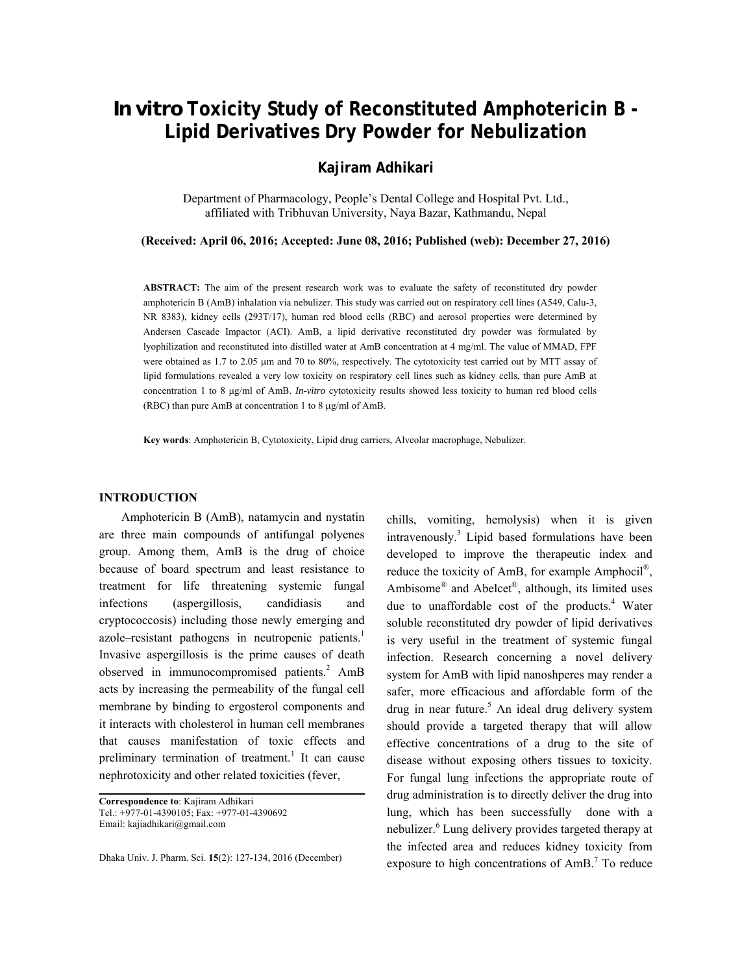# *In vitro* **Toxicity Study of Reconstituted Amphotericin B - Lipid Derivatives Dry Powder for Nebulization**

# **Kajiram Adhikari**

Department of Pharmacology, People's Dental College and Hospital Pvt. Ltd., affiliated with Tribhuvan University, Naya Bazar, Kathmandu, Nepal

**(Received: April 06, 2016; Accepted: June 08, 2016; Published (web): December 27, 2016)** 

**ABSTRACT:** The aim of the present research work was to evaluate the safety of reconstituted dry powder amphotericin B (AmB) inhalation via nebulizer. This study was carried out on respiratory cell lines (A549, Calu-3, NR 8383), kidney cells (293T/17), human red blood cells (RBC) and aerosol properties were determined by Andersen Cascade Impactor (ACI). AmB, a lipid derivative reconstituted dry powder was formulated by lyophilization and reconstituted into distilled water at AmB concentration at 4 mg/ml. The value of MMAD, FPF were obtained as 1.7 to 2.05  $\mu$ m and 70 to 80%, respectively. The cytotoxicity test carried out by MTT assay of lipid formulations revealed a very low toxicity on respiratory cell lines such as kidney cells, than pure AmB at concentration 1 to 8 µg/ml of AmB. *In-vitro* cytotoxicity results showed less toxicity to human red blood cells (RBC) than pure AmB at concentration 1 to 8 µg/ml of AmB.

**Key words**: Amphotericin B, Cytotoxicity, Lipid drug carriers, Alveolar macrophage, Nebulizer.

# **INTRODUCTION**

 Amphotericin B (AmB), natamycin and nystatin are three main compounds of antifungal polyenes group. Among them, AmB is the drug of choice because of board spectrum and least resistance to treatment for life threatening systemic fungal infections (aspergillosis, candidiasis and cryptococcosis) including those newly emerging and azole–resistant pathogens in neutropenic patients.<sup>1</sup> Invasive aspergillosis is the prime causes of death observed in immunocompromised patients.<sup>2</sup> AmB acts by increasing the permeability of the fungal cell membrane by binding to ergosterol components and it interacts with cholesterol in human cell membranes that causes manifestation of toxic effects and preliminary termination of treatment.<sup>1</sup> It can cause nephrotoxicity and other related toxicities (fever,

**Correspondence to**: Kajiram Adhikari Tel.: +977-01-4390105; Fax: +977-01-4390692 Email: kajiadhikari@gmail.com

Dhaka Univ. J. Pharm. Sci. **15**(2): 127-134, 2016 (December)

chills, vomiting, hemolysis) when it is given intravenously.3 Lipid based formulations have been developed to improve the therapeutic index and reduce the toxicity of AmB, for example Amphocil®, Ambisome® and Abelcet®, although, its limited uses due to unaffordable cost of the products.<sup>4</sup> Water soluble reconstituted dry powder of lipid derivatives is very useful in the treatment of systemic fungal infection. Research concerning a novel delivery system for AmB with lipid nanoshperes may render a safer, more efficacious and affordable form of the drug in near future.<sup>5</sup> An ideal drug delivery system should provide a targeted therapy that will allow effective concentrations of a drug to the site of disease without exposing others tissues to toxicity. For fungal lung infections the appropriate route of drug administration is to directly deliver the drug into lung, which has been successfully done with a nebulizer.<sup>6</sup> Lung delivery provides targeted therapy at the infected area and reduces kidney toxicity from exposure to high concentrations of  $AmB$ .<sup>7</sup> To reduce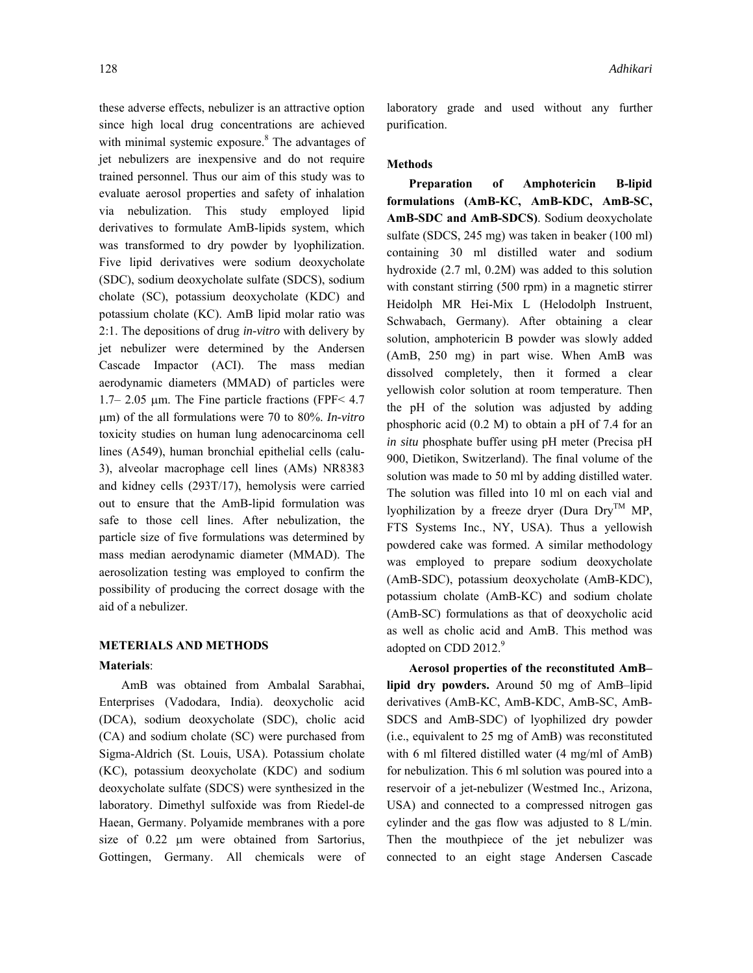these adverse effects, nebulizer is an attractive option since high local drug concentrations are achieved with minimal systemic exposure.<sup>8</sup> The advantages of jet nebulizers are inexpensive and do not require trained personnel. Thus our aim of this study was to evaluate aerosol properties and safety of inhalation via nebulization. This study employed lipid derivatives to formulate AmB-lipids system, which was transformed to dry powder by lyophilization. Five lipid derivatives were sodium deoxycholate (SDC), sodium deoxycholate sulfate (SDCS), sodium cholate (SC), potassium deoxycholate (KDC) and potassium cholate (KC). AmB lipid molar ratio was 2:1. The depositions of drug *in-vitro* with delivery by jet nebulizer were determined by the Andersen Cascade Impactor (ACI). The mass median aerodynamic diameters (MMAD) of particles were 1.7– 2.05  $\mu$ m. The Fine particle fractions (FPF< 4.7 µm) of the all formulations were 70 to 80%. *In-vitro* toxicity studies on human lung adenocarcinoma cell lines (A549), human bronchial epithelial cells (calu-3), alveolar macrophage cell lines (AMs) NR8383 and kidney cells (293T/17), hemolysis were carried out to ensure that the AmB-lipid formulation was safe to those cell lines. After nebulization, the particle size of five formulations was determined by mass median aerodynamic diameter (MMAD). The aerosolization testing was employed to confirm the possibility of producing the correct dosage with the aid of a nebulizer.

### **METERIALS AND METHODS**

#### **Materials**:

 AmB was obtained from Ambalal Sarabhai, Enterprises (Vadodara, India). deoxycholic acid (DCA), sodium deoxycholate (SDC), cholic acid (CA) and sodium cholate (SC) were purchased from Sigma-Aldrich (St. Louis, USA). Potassium cholate (KC), potassium deoxycholate (KDC) and sodium deoxycholate sulfate (SDCS) were synthesized in the laboratory. Dimethyl sulfoxide was from Riedel-de Haean, Germany. Polyamide membranes with a pore size of 0.22  $\mu$ m were obtained from Sartorius, Gottingen, Germany. All chemicals were of laboratory grade and used without any further purification.

# **Methods**

 **Preparation of Amphotericin B-lipid formulations (AmB-KC, AmB-KDC, AmB-SC, AmB-SDC and AmB-SDCS)**. Sodium deoxycholate sulfate (SDCS, 245 mg) was taken in beaker (100 ml) containing 30 ml distilled water and sodium hydroxide (2.7 ml, 0.2M) was added to this solution with constant stirring (500 rpm) in a magnetic stirrer Heidolph MR Hei-Mix L (Helodolph Instruent, Schwabach, Germany). After obtaining a clear solution, amphotericin B powder was slowly added (AmB, 250 mg) in part wise. When AmB was dissolved completely, then it formed a clear yellowish color solution at room temperature. Then the pH of the solution was adjusted by adding phosphoric acid (0.2 M) to obtain a pH of 7.4 for an *in situ* phosphate buffer using pH meter (Precisa pH 900, Dietikon, Switzerland). The final volume of the solution was made to 50 ml by adding distilled water. The solution was filled into 10 ml on each vial and lyophilization by a freeze dryer (Dura  $Dry^{TM} MP$ , FTS Systems Inc., NY, USA). Thus a yellowish powdered cake was formed. A similar methodology was employed to prepare sodium deoxycholate (AmB-SDC), potassium deoxycholate (AmB-KDC), potassium cholate (AmB-KC) and sodium cholate (AmB-SC) formulations as that of deoxycholic acid as well as cholic acid and AmB. This method was adopted on CDD 2012.<sup>9</sup>

 **Aerosol properties of the reconstituted AmB– lipid dry powders.** Around 50 mg of AmB–lipid derivatives (AmB-KC, AmB-KDC, AmB-SC, AmB-SDCS and AmB-SDC) of lyophilized dry powder (i.e., equivalent to 25 mg of AmB) was reconstituted with 6 ml filtered distilled water (4 mg/ml of AmB) for nebulization. This 6 ml solution was poured into a reservoir of a jet-nebulizer (Westmed Inc., Arizona, USA) and connected to a compressed nitrogen gas cylinder and the gas flow was adjusted to 8 L/min. Then the mouthpiece of the jet nebulizer was connected to an eight stage Andersen Cascade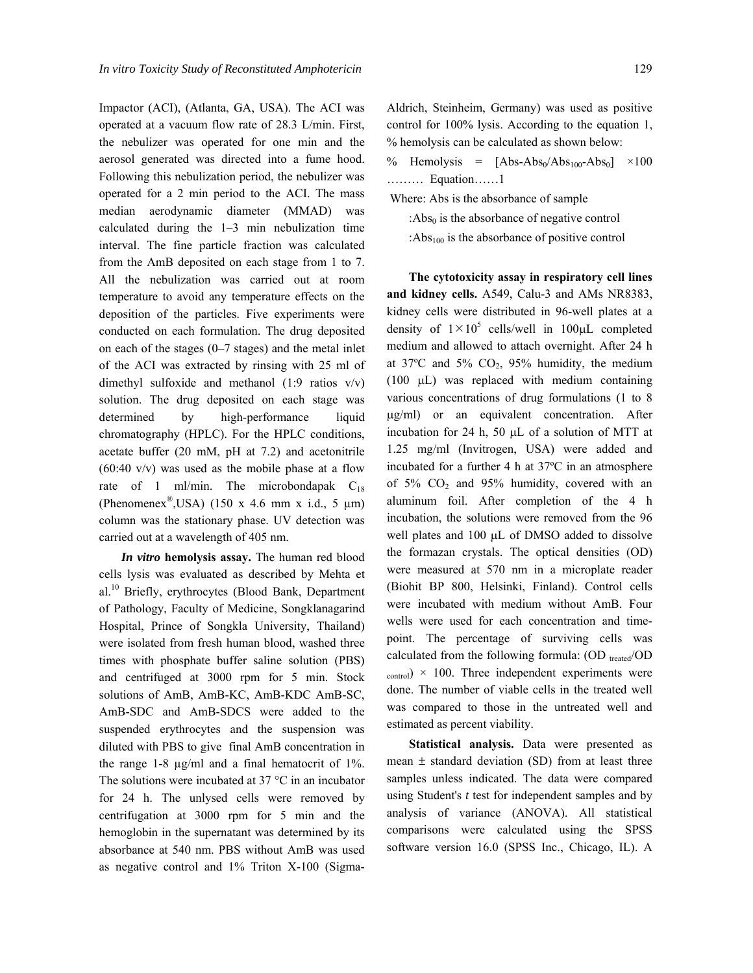Impactor (ACI), (Atlanta, GA, USA). The ACI was operated at a vacuum flow rate of 28.3 L/min. First, the nebulizer was operated for one min and the aerosol generated was directed into a fume hood. Following this nebulization period, the nebulizer was operated for a 2 min period to the ACI. The mass median aerodynamic diameter (MMAD) was calculated during the 1–3 min nebulization time interval. The fine particle fraction was calculated from the AmB deposited on each stage from 1 to 7. All the nebulization was carried out at room temperature to avoid any temperature effects on the deposition of the particles. Five experiments were conducted on each formulation. The drug deposited on each of the stages (0–7 stages) and the metal inlet of the ACI was extracted by rinsing with 25 ml of dimethyl sulfoxide and methanol  $(1:9 \text{ ratios } v/v)$ solution. The drug deposited on each stage was determined by high-performance liquid chromatography (HPLC). For the HPLC conditions, acetate buffer (20 mM, pH at 7.2) and acetonitrile  $(60:40 \text{ v/v})$  was used as the mobile phase at a flow rate of 1 ml/min. The microbondapak  $C_{18}$ (Phenomenex<sup>®</sup>,USA) (150 x 4.6 mm x i.d., 5  $\mu$ m) column was the stationary phase. UV detection was carried out at a wavelength of 405 nm.

 *In vitro* **hemolysis assay.** The human red blood cells lysis was evaluated as described by Mehta et al.<sup>10</sup> Briefly, erythrocytes (Blood Bank, Department of Pathology, Faculty of Medicine, Songklanagarind Hospital, Prince of Songkla University, Thailand) were isolated from fresh human blood, washed three times with phosphate buffer saline solution (PBS) and centrifuged at 3000 rpm for 5 min. Stock solutions of AmB, AmB-KC, AmB-KDC AmB-SC, AmB-SDC and AmB-SDCS were added to the suspended erythrocytes and the suspension was diluted with PBS to give final AmB concentration in the range 1-8 µg/ml and a final hematocrit of 1%. The solutions were incubated at  $37^{\circ}$ C in an incubator for 24 h. The unlysed cells were removed by centrifugation at 3000 rpm for 5 min and the hemoglobin in the supernatant was determined by its absorbance at 540 nm. PBS without AmB was used as negative control and 1% Triton X-100 (SigmaAldrich, Steinheim, Germany) was used as positive control for 100% lysis. According to the equation 1, % hemolysis can be calculated as shown below:

- % Hemolysis =  $[Abs-Abs_0/Abs_{100}-Abs_0] \times 100$ ……… Equation……1
- Where: Abs is the absorbance of sample
	- : $Abs<sub>0</sub>$  is the absorbance of negative control : $Abs_{100}$  is the absorbance of positive control

 **The cytotoxicity assay in respiratory cell lines and kidney cells.** A549, Calu-3 and AMs NR8383, kidney cells were distributed in 96-well plates at a density of  $1 \times 10^5$  cells/well in 100 $\mu$ L completed medium and allowed to attach overnight. After 24 h at  $37^{\circ}$ C and  $5\%$  CO<sub>2</sub>,  $95\%$  humidity, the medium (100 µL) was replaced with medium containing various concentrations of drug formulations (1 to 8 µg/ml) or an equivalent concentration. After incubation for 24 h, 50 µL of a solution of MTT at 1.25 mg/ml (Invitrogen, USA) were added and incubated for a further 4 h at 37ºC in an atmosphere of  $5\%$  CO<sub>2</sub> and  $95\%$  humidity, covered with an aluminum foil. After completion of the 4 h incubation, the solutions were removed from the 96 well plates and 100  $\mu$ L of DMSO added to dissolve the formazan crystals. The optical densities (OD) were measured at 570 nm in a microplate reader (Biohit BP 800, Helsinki, Finland). Control cells were incubated with medium without AmB. Four wells were used for each concentration and timepoint. The percentage of surviving cells was calculated from the following formula:  $(OD$  treated/OD  $_{\rm control}) \times 100$ . Three independent experiments were done. The number of viable cells in the treated well was compared to those in the untreated well and estimated as percent viability.

 **Statistical analysis.** Data were presented as mean  $\pm$  standard deviation (SD) from at least three samples unless indicated. The data were compared using Student's *t* test for independent samples and by analysis of variance (ANOVA). All statistical comparisons were calculated using the SPSS software version 16.0 (SPSS Inc., Chicago, IL). A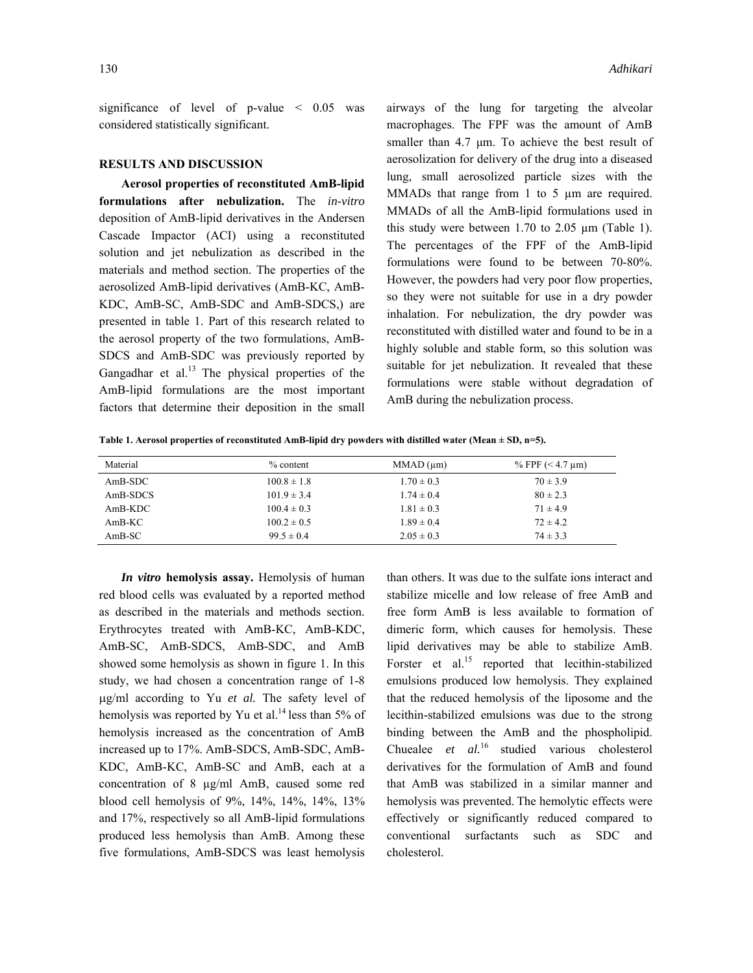significance of level of p-value < 0.05 was considered statistically significant.

#### **RESULTS AND DISCUSSION**

 **Aerosol properties of reconstituted AmB-lipid formulations after nebulization.** The *in-vitro* deposition of AmB-lipid derivatives in the Andersen Cascade Impactor (ACI) using a reconstituted solution and jet nebulization as described in the materials and method section. The properties of the aerosolized AmB-lipid derivatives (AmB-KC, AmB-KDC, AmB-SC, AmB-SDC and AmB-SDCS,) are presented in table 1. Part of this research related to the aerosol property of the two formulations, AmB-SDCS and AmB-SDC was previously reported by Gangadhar et al. $^{13}$  The physical properties of the AmB-lipid formulations are the most important factors that determine their deposition in the small airways of the lung for targeting the alveolar macrophages. The FPF was the amount of AmB smaller than 4.7  $\mu$ m. To achieve the best result of aerosolization for delivery of the drug into a diseased lung, small aerosolized particle sizes with the MMADs that range from 1 to 5 µm are required. MMADs of all the AmB-lipid formulations used in this study were between  $1.70$  to  $2.05 \mu m$  (Table 1). The percentages of the FPF of the AmB-lipid formulations were found to be between 70-80%. However, the powders had very poor flow properties, so they were not suitable for use in a dry powder inhalation. For nebulization, the dry powder was reconstituted with distilled water and found to be in a highly soluble and stable form, so this solution was suitable for jet nebulization. It revealed that these formulations were stable without degradation of AmB during the nebulization process.

**Table 1. Aerosol properties of reconstituted AmB-lipid dry powders with distilled water (Mean ± SD, n=5).** 

| Material  | $%$ content     | $MMAD$ ( $\mu$ m) | % FPF $(< 4.7 \text{ }\mu \text{m})$ |
|-----------|-----------------|-------------------|--------------------------------------|
| $AmB-SDC$ | $100.8 \pm 1.8$ | $1.70 \pm 0.3$    | $70 \pm 3.9$                         |
| AmB-SDCS  | $101.9 \pm 3.4$ | $1.74 \pm 0.4$    | $80 \pm 2.3$                         |
| $AmB-KDC$ | $100.4 \pm 0.3$ | $1.81 \pm 0.3$    | $71 \pm 4.9$                         |
| $AmB-KC$  | $100.2 \pm 0.5$ | $1.89 \pm 0.4$    | $72 \pm 4.2$                         |
| $AmB-SC$  | $99.5 \pm 0.4$  | $2.05 \pm 0.3$    | $74 \pm 3.3$                         |

 *In vitro* **hemolysis assay.** Hemolysis of human red blood cells was evaluated by a reported method as described in the materials and methods section. Erythrocytes treated with AmB-KC, AmB-KDC, AmB-SC, AmB-SDCS, AmB-SDC, and AmB showed some hemolysis as shown in figure 1. In this study, we had chosen a concentration range of 1-8 µg/ml according to Yu *et al.* The safety level of hemolysis was reported by Yu et al.<sup>14</sup> less than 5% of hemolysis increased as the concentration of AmB increased up to 17%. AmB-SDCS, AmB-SDC, AmB-KDC, AmB-KC, AmB-SC and AmB, each at a concentration of 8 µg/ml AmB, caused some red blood cell hemolysis of 9%, 14%, 14%, 14%, 13% and 17%, respectively so all AmB-lipid formulations produced less hemolysis than AmB. Among these five formulations, AmB-SDCS was least hemolysis

than others. It was due to the sulfate ions interact and stabilize micelle and low release of free AmB and free form AmB is less available to formation of dimeric form, which causes for hemolysis. These lipid derivatives may be able to stabilize AmB. Forster et al.<sup>15</sup> reported that lecithin-stabilized emulsions produced low hemolysis. They explained that the reduced hemolysis of the liposome and the lecithin-stabilized emulsions was due to the strong binding between the AmB and the phospholipid. Chuealee *et al.*16 studied various cholesterol derivatives for the formulation of AmB and found that AmB was stabilized in a similar manner and hemolysis was prevented. The hemolytic effects were effectively or significantly reduced compared to conventional surfactants such as SDC and cholesterol.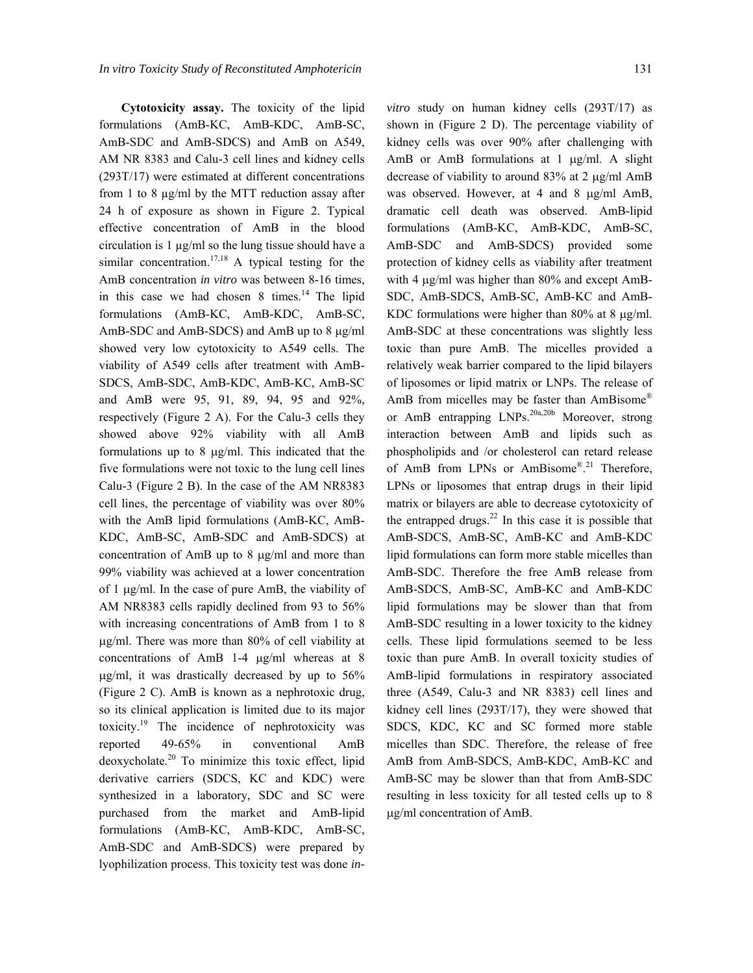**Cytotoxicity assay.** The toxicity of the lipid formulations (AmB-KC, AmB-KDC, AmB-SC, AmB-SDC and AmB-SDCS) and AmB on A549, AM NR 8383 and Calu-3 cell lines and kidney cells (293T/17) were estimated at different concentrations from 1 to 8 µg/ml by the MTT reduction assay after 24 h of exposure as shown in Figure 2. Typical effective concentration of AmB in the blood circulation is 1 µg/ml so the lung tissue should have a similar concentration.<sup>17,18</sup> A typical testing for the AmB concentration *in vitro* was between 8-16 times, in this case we had chosen 8 times. $14$  The lipid formulations (AmB-KC, AmB-KDC, AmB-SC, AmB-SDC and AmB-SDCS) and AmB up to 8  $\mu$ g/ml showed very low cytotoxicity to A549 cells. The viability of A549 cells after treatment with AmB-SDCS, AmB-SDC, AmB-KDC, AmB-KC, AmB-SC and AmB were 95, 91, 89, 94, 95 and 92%, respectively (Figure 2 A). For the Calu-3 cells they showed above 92% viability with all AmB formulations up to 8 µg/ml. This indicated that the five formulations were not toxic to the lung cell lines Calu-3 (Figure 2 B). In the case of the AM NR8383 cell lines, the percentage of viability was over 80% with the AmB lipid formulations (AmB-KC, AmB-KDC, AmB-SC, AmB-SDC and AmB-SDCS) at concentration of AmB up to 8 µg/ml and more than 99% viability was achieved at a lower concentration of 1 µg/ml. In the case of pure AmB, the viability of AM NR8383 cells rapidly declined from 93 to 56% with increasing concentrations of AmB from 1 to 8 µg/ml. There was more than 80% of cell viability at concentrations of AmB 1-4 µg/ml whereas at 8 µg/ml, it was drastically decreased by up to 56% (Figure 2 C). AmB is known as a nephrotoxic drug, so its clinical application is limited due to its major toxicity.19 The incidence of nephrotoxicity was reported 49-65% in conventional AmB deoxycholate.20 To minimize this toxic effect, lipid derivative carriers (SDCS, KC and KDC) were synthesized in a laboratory, SDC and SC were purchased from the market and AmB-lipid formulations (AmB-KC, AmB-KDC, AmB-SC, AmB-SDC and AmB-SDCS) were prepared by lyophilization process. This toxicity test was done *in-* *vitro* study on human kidney cells (293T/17) as shown in (Figure 2 D). The percentage viability of kidney cells was over 90% after challenging with AmB or AmB formulations at 1 µg/ml. A slight decrease of viability to around 83% at 2 µg/ml AmB was observed. However, at 4 and 8  $\mu$ g/ml AmB, dramatic cell death was observed. AmB-lipid formulations (AmB-KC, AmB-KDC, AmB-SC, AmB-SDC and AmB-SDCS) provided some protection of kidney cells as viability after treatment with 4  $\mu$ g/ml was higher than 80% and except AmB-SDC, AmB-SDCS, AmB-SC, AmB-KC and AmB-KDC formulations were higher than 80% at 8 µg/ml. AmB-SDC at these concentrations was slightly less toxic than pure AmB. The micelles provided a relatively weak barrier compared to the lipid bilayers of liposomes or lipid matrix or LNPs. The release of AmB from micelles may be faster than AmBisome® or AmB entrapping LNPs.<sup>20a,20b</sup> Moreover, strong interaction between AmB and lipids such as phospholipids and /or cholesterol can retard release of AmB from LPNs or AmBisome®.<sup>21</sup> Therefore, LPNs or liposomes that entrap drugs in their lipid matrix or bilayers are able to decrease cytotoxicity of the entrapped drugs. $^{22}$  In this case it is possible that AmB-SDCS, AmB-SC, AmB-KC and AmB-KDC lipid formulations can form more stable micelles than AmB-SDC. Therefore the free AmB release from AmB-SDCS, AmB-SC, AmB-KC and AmB-KDC lipid formulations may be slower than that from AmB-SDC resulting in a lower toxicity to the kidney cells. These lipid formulations seemed to be less toxic than pure AmB. In overall toxicity studies of AmB-lipid formulations in respiratory associated three (A549, Calu-3 and NR 8383) cell lines and kidney cell lines (293T/17), they were showed that SDCS, KDC, KC and SC formed more stable micelles than SDC. Therefore, the release of free AmB from AmB-SDCS, AmB-KDC, AmB-KC and AmB-SC may be slower than that from AmB-SDC resulting in less toxicity for all tested cells up to 8 µg/ml concentration of AmB.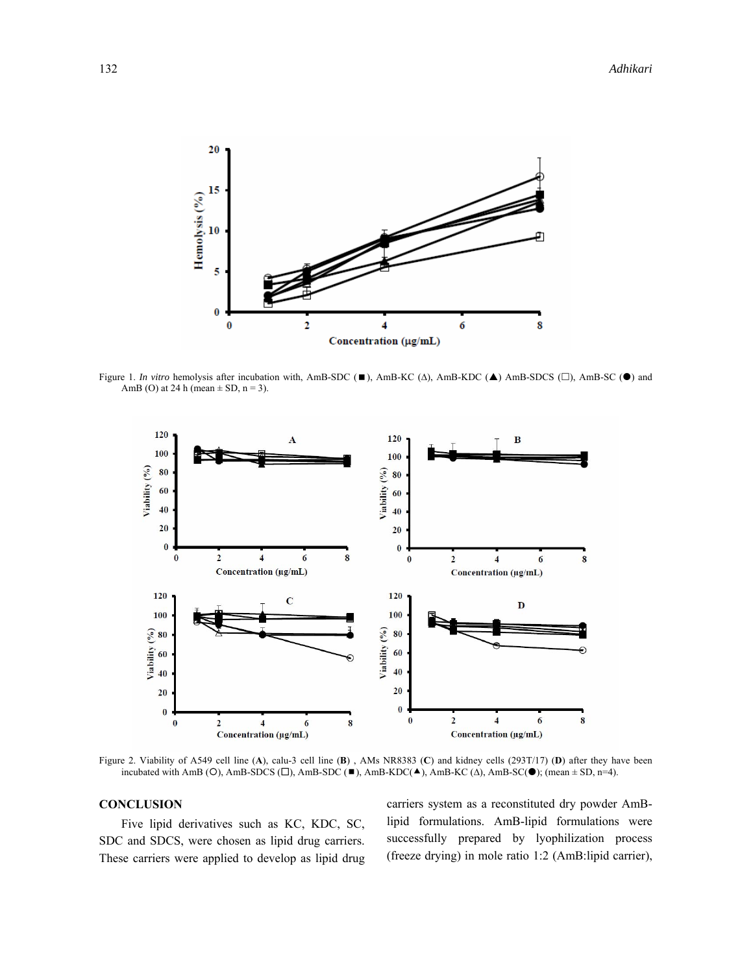

Figure 1. *In vitro* hemolysis after incubation with, AmB-SDC (■), AmB-KC ( $\Delta$ ), AmB-KDC (▲) AmB-SDCS (□), AmB-SC (●) and AmB (O) at 24 h (mean  $\pm$  SD, n = 3).



Figure 2. Viability of A549 cell line (**A**), calu-3 cell line (**B**) , AMs NR8383 (**C**) and kidney cells (293T/17) (**D**) after they have been incubated with AmB ( ${O}$ ), AmB-SDCS ( $\square$ ), AmB-SDC ( $\square$ ), AmB-KDC( $\blacktriangle$ ), AmB-KC ( $\triangle$ ), AmB-SC( $\bigcirc$ ); (mean  $\pm$  SD, n=4).

# **CONCLUSION**

 Five lipid derivatives such as KC, KDC, SC, SDC and SDCS, were chosen as lipid drug carriers. These carriers were applied to develop as lipid drug carriers system as a reconstituted dry powder AmBlipid formulations. AmB-lipid formulations were successfully prepared by lyophilization process (freeze drying) in mole ratio 1:2 (AmB:lipid carrier),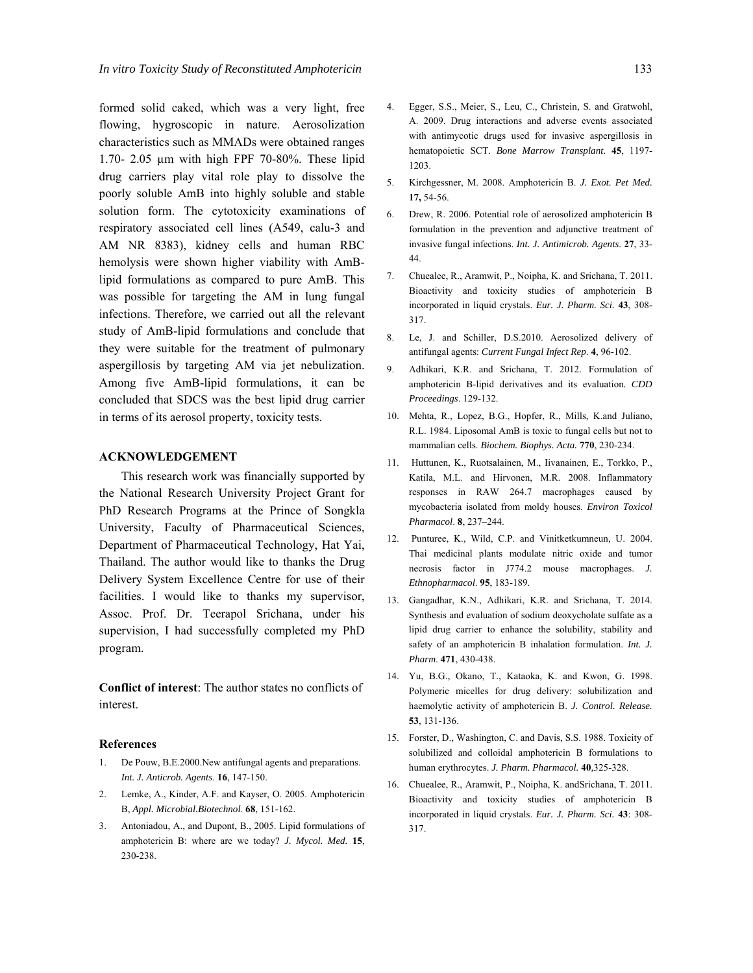formed solid caked, which was a very light, free flowing, hygroscopic in nature. Aerosolization characteristics such as MMADs were obtained ranges 1.70- 2.05 µm with high FPF 70-80%. These lipid drug carriers play vital role play to dissolve the poorly soluble AmB into highly soluble and stable solution form. The cytotoxicity examinations of respiratory associated cell lines (A549, calu-3 and AM NR 8383), kidney cells and human RBC hemolysis were shown higher viability with AmBlipid formulations as compared to pure AmB. This was possible for targeting the AM in lung fungal infections. Therefore, we carried out all the relevant study of AmB-lipid formulations and conclude that they were suitable for the treatment of pulmonary aspergillosis by targeting AM via jet nebulization. Among five AmB-lipid formulations, it can be concluded that SDCS was the best lipid drug carrier in terms of its aerosol property, toxicity tests.

#### **ACKNOWLEDGEMENT**

 This research work was financially supported by the National Research University Project Grant for PhD Research Programs at the Prince of Songkla University, Faculty of Pharmaceutical Sciences, Department of Pharmaceutical Technology, Hat Yai, Thailand. The author would like to thanks the Drug Delivery System Excellence Centre for use of their facilities. I would like to thanks my supervisor, Assoc. Prof. Dr. Teerapol Srichana, under his supervision, I had successfully completed my PhD program.

**Conflict of interest**: The author states no conflicts of interest.

#### **References**

- 1. De Pouw, B.E.2000.New antifungal agents and preparations. *Int. J. Anticrob. Agents*. **16**, 147-150.
- Lemke, A., Kinder, A.F. and Kayser, O. 2005. Amphotericin B, *Appl. Microbial.Biotechnol*. **68**, 151-162.
- 3. Antoniadou, A., and Dupont, B., 2005. Lipid formulations of amphotericin B: where are we today? *J. Mycol. Med.* **15**, 230-238.
- 4. Egger, S.S., Meier, S., Leu, C., Christein, S. and Gratwohl, A. 2009. Drug interactions and adverse events associated with antimycotic drugs used for invasive aspergillosis in hematopoietic SCT. *Bone Marrow Transplant.* **45**, 1197- 1203.
- 5. Kirchgessner, M. 2008. Amphotericin B. *J. Exot. Pet Med.*  **17,** 54-56.
- 6. Drew, R. 2006. Potential role of aerosolized amphotericin B formulation in the prevention and adjunctive treatment of invasive fungal infections. *Int. J. Antimicrob. Agents*. **27**, 33- 44.
- 7. Chuealee, R., Aramwit, P., Noipha, K. and Srichana, T. 2011. Bioactivity and toxicity studies of amphotericin B incorporated in liquid crystals. *Eur. J. Pharm. Sci.* **43**, 308- 317.
- 8. Le, J. and Schiller, D.S.2010. Aerosolized delivery of antifungal agents: *Current Fungal Infect Rep*. **4**, 96-102.
- 9. Adhikari, K.R. and Srichana, T. 2012. Formulation of amphotericin B-lipid derivatives and its evaluation*. CDD Proceedings*. 129-132.
- 10. Mehta, R., Lopez, B.G., Hopfer, R., Mills, K.and Juliano, R.L. 1984. Liposomal AmB is toxic to fungal cells but not to mammalian cells. *Biochem. Biophys. Acta.* **770**, 230-234.
- 11. Huttunen, K., Ruotsalainen, M., Iivanainen, E., Torkko, P., Katila, M.L. and Hirvonen, M.R. 2008. Inflammatory responses in RAW 264.7 macrophages caused by mycobacteria isolated from moldy houses. *Environ Toxicol Pharmacol*. **8**, 237–244.
- 12. Punturee, K., Wild, C.P. and Vinitketkumneun, U. 2004. Thai medicinal plants modulate nitric oxide and tumor necrosis factor in J774.2 mouse macrophages. *J. Ethnopharmacol*. **95**, 183-189.
- 13. Gangadhar, K.N., Adhikari, K.R. and Srichana, T. 2014. Synthesis and evaluation of sodium deoxycholate sulfate as a lipid drug carrier to enhance the solubility, stability and safety of an amphotericin B inhalation formulation. *Int. J. Pharm*. **471**, 430-438.
- 14. Yu, B.G., Okano, T., Kataoka, K. and Kwon, G. 1998. Polymeric micelles for drug delivery: solubilization and haemolytic activity of amphotericin B. *J. Control. Release.*  **53**, 131-136.
- 15. Forster, D., Washington, C. and Davis, S.S. 1988. Toxicity of solubilized and colloidal amphotericin B formulations to human erythrocytes. *J. Pharm. Pharmacol.* **40***,*325-328.
- 16. Chuealee, R., Aramwit, P., Noipha, K. andSrichana, T. 2011. Bioactivity and toxicity studies of amphotericin B incorporated in liquid crystals. *Eur. J. Pharm. Sci.* **43**: 308- 317.